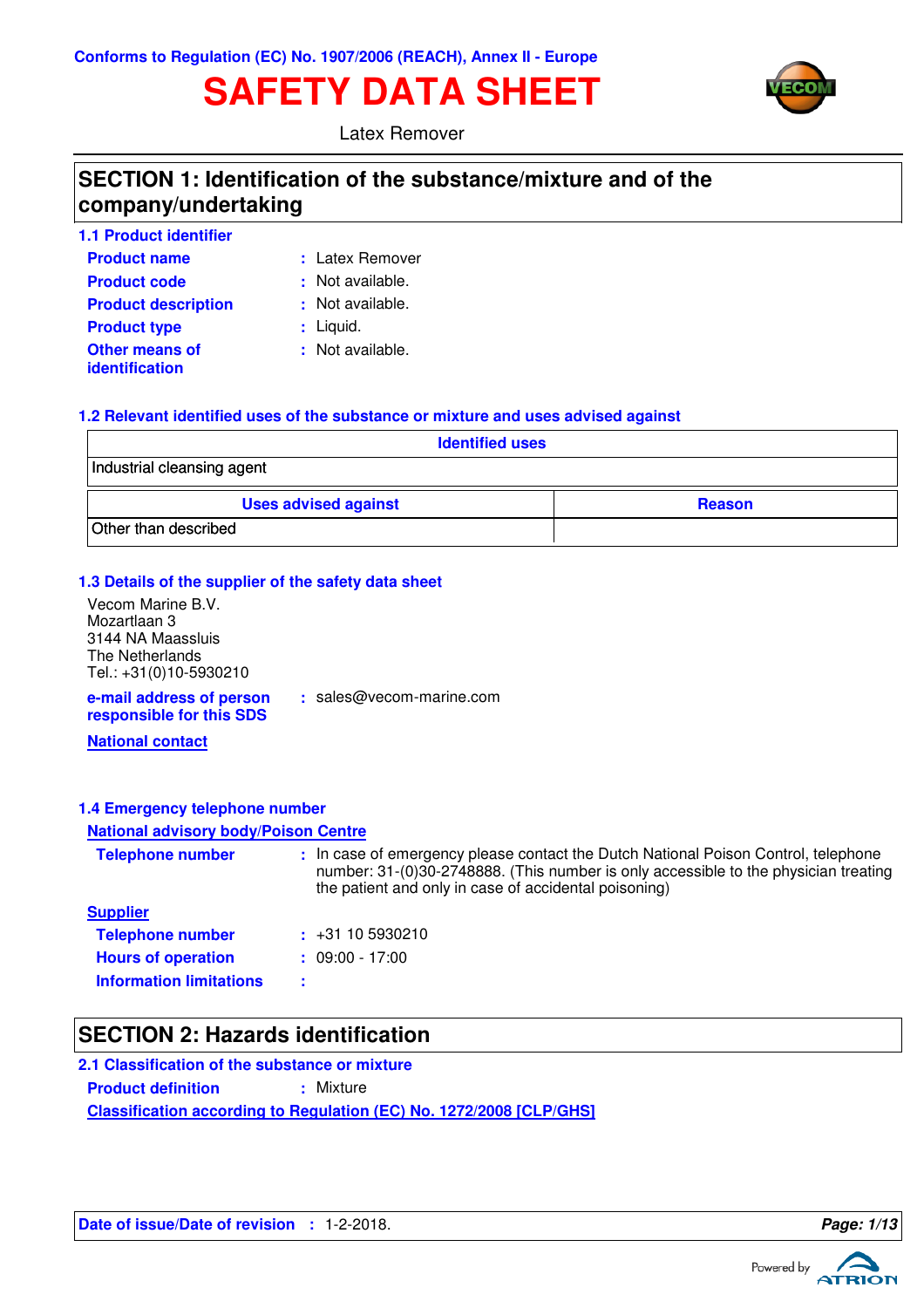# **SAFETY DATA SHEET**



Latex Remover

### **SECTION 1: Identification of the substance/mixture and of the company/undertaking**

| 1.1 Product identifier                  |                  |
|-----------------------------------------|------------------|
| <b>Product name</b>                     | : Latex Remover  |
| <b>Product code</b>                     | : Not available. |
| <b>Product description</b>              | : Not available. |
| <b>Product type</b>                     | $:$ Liquid.      |
| Other means of<br><b>identification</b> | : Not available. |

#### **1.2 Relevant identified uses of the substance or mixture and uses advised against**

| <b>Identified uses</b>      |               |  |  |
|-----------------------------|---------------|--|--|
| Industrial cleansing agent  |               |  |  |
| <b>Uses advised against</b> | <b>Reason</b> |  |  |
| Other than described        |               |  |  |

#### **1.3 Details of the supplier of the safety data sheet**

**e-mail address of person** Vecom Marine B.V. Mozartlaan 3 3144 NA Maassluis The Netherlands Tel.: +31(0)10-5930210

**:** sales@vecom-marine.com

**responsible for this SDS**

**National contact**

#### **1.4 Emergency telephone number**

#### **National advisory body/Poison Centre**

| <b>Telephone number</b>        | : In case of emergency please contact the Dutch National Poison Control, telephone<br>number: 31-(0)30-2748888. (This number is only accessible to the physician treating<br>the patient and only in case of accidental poisoning) |
|--------------------------------|------------------------------------------------------------------------------------------------------------------------------------------------------------------------------------------------------------------------------------|
| <b>Supplier</b>                |                                                                                                                                                                                                                                    |
| <b>Telephone number</b>        | $\div$ +31 10 5930210                                                                                                                                                                                                              |
| <b>Hours of operation</b>      | $: 09:00 - 17:00$                                                                                                                                                                                                                  |
| <b>Information limitations</b> |                                                                                                                                                                                                                                    |

### **SECTION 2: Hazards identification**

**Classification according to Regulation (EC) No. 1272/2008 [CLP/GHS] 2.1 Classification of the substance or mixture Product definition : Mixture** 

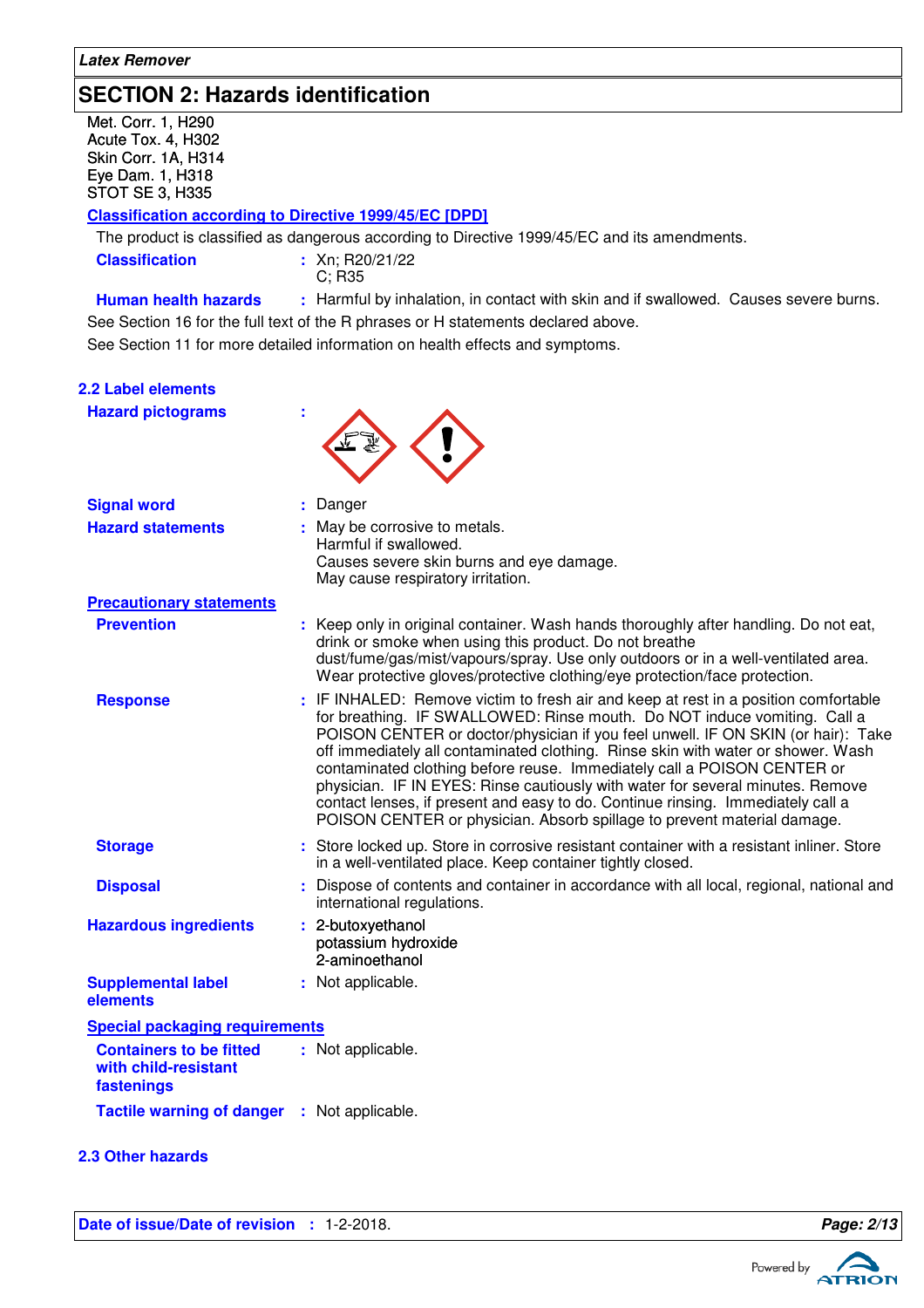### **SECTION 2: Hazards identification**

Met. Corr. 1, H290 Acute Tox. 4, H302 Skin Corr. 1A, H314 Eye Dam. 1, H318 STOT SE 3, H335

#### **Classification according to Directive 1999/45/EC [DPD]**

The product is classified as dangerous according to Directive 1999/45/EC and its amendments.

**Classification** : Xn; R20/21/22

C; R35

**Human health hazards :** Harmful by inhalation, in contact with skin and if swallowed. Causes severe burns.

See Section 11 for more detailed information on health effects and symptoms. See Section 16 for the full text of the R phrases or H statements declared above.

| <b>2.2 Label elements</b>                                            |                                                                                                                                                                                                                                                                                                                                                                                                                                                                                                                                                                                                                                                                    |
|----------------------------------------------------------------------|--------------------------------------------------------------------------------------------------------------------------------------------------------------------------------------------------------------------------------------------------------------------------------------------------------------------------------------------------------------------------------------------------------------------------------------------------------------------------------------------------------------------------------------------------------------------------------------------------------------------------------------------------------------------|
| <b>Hazard pictograms</b>                                             |                                                                                                                                                                                                                                                                                                                                                                                                                                                                                                                                                                                                                                                                    |
| <b>Signal word</b>                                                   | Danger                                                                                                                                                                                                                                                                                                                                                                                                                                                                                                                                                                                                                                                             |
| <b>Hazard statements</b>                                             | : May be corrosive to metals.<br>Harmful if swallowed.<br>Causes severe skin burns and eye damage.<br>May cause respiratory irritation.                                                                                                                                                                                                                                                                                                                                                                                                                                                                                                                            |
| <b>Precautionary statements</b>                                      |                                                                                                                                                                                                                                                                                                                                                                                                                                                                                                                                                                                                                                                                    |
| <b>Prevention</b>                                                    | : Keep only in original container. Wash hands thoroughly after handling. Do not eat,<br>drink or smoke when using this product. Do not breathe<br>dust/fume/gas/mist/vapours/spray. Use only outdoors or in a well-ventilated area.<br>Wear protective gloves/protective clothing/eye protection/face protection.                                                                                                                                                                                                                                                                                                                                                  |
| <b>Response</b>                                                      | : IF INHALED: Remove victim to fresh air and keep at rest in a position comfortable<br>for breathing. IF SWALLOWED: Rinse mouth. Do NOT induce vomiting. Call a<br>POISON CENTER or doctor/physician if you feel unwell. IF ON SKIN (or hair): Take<br>off immediately all contaminated clothing. Rinse skin with water or shower. Wash<br>contaminated clothing before reuse. Immediately call a POISON CENTER or<br>physician. IF IN EYES: Rinse cautiously with water for several minutes. Remove<br>contact lenses, if present and easy to do. Continue rinsing. Immediately call a<br>POISON CENTER or physician. Absorb spillage to prevent material damage. |
| <b>Storage</b>                                                       | : Store locked up. Store in corrosive resistant container with a resistant inliner. Store<br>in a well-ventilated place. Keep container tightly closed.                                                                                                                                                                                                                                                                                                                                                                                                                                                                                                            |
| <b>Disposal</b>                                                      | : Dispose of contents and container in accordance with all local, regional, national and<br>international regulations.                                                                                                                                                                                                                                                                                                                                                                                                                                                                                                                                             |
| <b>Hazardous ingredients</b>                                         | : 2-butoxyethanol<br>potassium hydroxide<br>2-aminoethanol                                                                                                                                                                                                                                                                                                                                                                                                                                                                                                                                                                                                         |
| <b>Supplemental label</b><br>elements                                | : Not applicable.                                                                                                                                                                                                                                                                                                                                                                                                                                                                                                                                                                                                                                                  |
| <b>Special packaging requirements</b>                                |                                                                                                                                                                                                                                                                                                                                                                                                                                                                                                                                                                                                                                                                    |
| <b>Containers to be fitted</b><br>with child-resistant<br>fastenings | : Not applicable.                                                                                                                                                                                                                                                                                                                                                                                                                                                                                                                                                                                                                                                  |
| <b>Tactile warning of danger : Not applicable.</b>                   |                                                                                                                                                                                                                                                                                                                                                                                                                                                                                                                                                                                                                                                                    |

#### **2.3 Other hazards**

**Date of issue/Date of revision : 1-2-2018. Page: 2/13 Page: 2/13** 

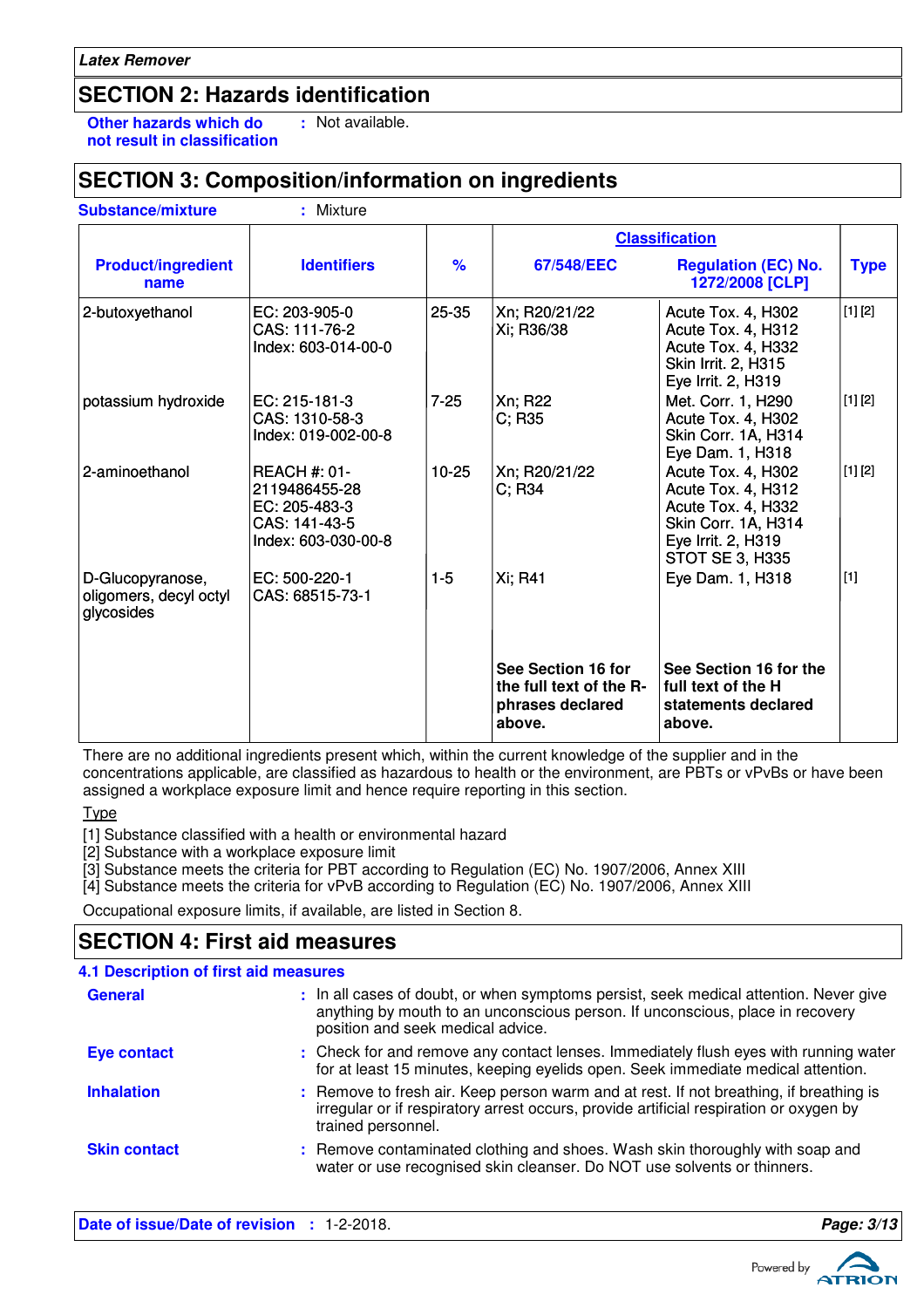### **SECTION 2: Hazards identification**

**Other hazards which do : not result in classification** : Not available.

### **SECTION 3: Composition/information on ingredients**

|                                                          |                                                                                               |               | <b>Classification</b>                                                       |                                                                                                                                       |             |
|----------------------------------------------------------|-----------------------------------------------------------------------------------------------|---------------|-----------------------------------------------------------------------------|---------------------------------------------------------------------------------------------------------------------------------------|-------------|
| <b>Product/ingredient</b><br>name                        | <b>Identifiers</b>                                                                            | $\frac{9}{6}$ | 67/548/EEC                                                                  | <b>Regulation (EC) No.</b><br>1272/2008 [CLP]                                                                                         | <b>Type</b> |
| 2-butoxyethanol                                          | EC: 203-905-0<br>CAS: 111-76-2<br>Index: 603-014-00-0                                         | 25-35         | Xn; R20/21/22<br>Xi; R36/38                                                 | Acute Tox. 4, H302<br>Acute Tox. 4, H312<br>Acute Tox. 4, H332<br>Skin Irrit. 2, H315<br>Eye Irrit. 2, H319                           | [1] [2]     |
| potassium hydroxide                                      | EC: 215-181-3<br>CAS: 1310-58-3<br>Index: 019-002-00-8                                        | $7 - 25$      | Xn; R22<br>C; R35                                                           | Met. Corr. 1, H290<br>Acute Tox. 4, H302<br>Skin Corr. 1A, H314<br>Eye Dam. 1, H318                                                   | [1] [2]     |
| 2-aminoethanol                                           | <b>REACH #: 01-</b><br>2119486455-28<br>EC: 205-483-3<br>CAS: 141-43-5<br>Index: 603-030-00-8 | $10 - 25$     | Xn; R20/21/22<br>$C$ ; R34                                                  | Acute Tox. 4, H302<br>Acute Tox. 4, H312<br>Acute Tox. 4, H332<br>Skin Corr. 1A, H314<br>Eye Irrit. 2, H319<br><b>STOT SE 3, H335</b> | [1] [2]     |
| D-Glucopyranose,<br>oligomers, decyl octyl<br>glycosides | EC: 500-220-1<br>CAS: 68515-73-1                                                              | $1 - 5$       | Xi; R41                                                                     | Eye Dam. 1, H318                                                                                                                      | $[1]$       |
|                                                          |                                                                                               |               | See Section 16 for<br>the full text of the R-<br>phrases declared<br>above. | See Section 16 for the<br>full text of the H<br>statements declared<br>above.                                                         |             |

There are no additional ingredients present which, within the current knowledge of the supplier and in the concentrations applicable, are classified as hazardous to health or the environment, are PBTs or vPvBs or have been assigned a workplace exposure limit and hence require reporting in this section.

Type

[1] Substance classified with a health or environmental hazard

[2] Substance with a workplace exposure limit

[3] Substance meets the criteria for PBT according to Regulation (EC) No. 1907/2006, Annex XIII

[4] Substance meets the criteria for vPvB according to Regulation (EC) No. 1907/2006, Annex XIII

Occupational exposure limits, if available, are listed in Section 8.

### **SECTION 4: First aid measures**

| 4.1 Description of first aid measures |                                                                                                                                                                                                             |
|---------------------------------------|-------------------------------------------------------------------------------------------------------------------------------------------------------------------------------------------------------------|
| <b>General</b>                        | : In all cases of doubt, or when symptoms persist, seek medical attention. Never give<br>anything by mouth to an unconscious person. If unconscious, place in recovery<br>position and seek medical advice. |
| <b>Eye contact</b>                    | : Check for and remove any contact lenses. Immediately flush eyes with running water<br>for at least 15 minutes, keeping eyelids open. Seek immediate medical attention.                                    |
| <b>Inhalation</b>                     | : Remove to fresh air. Keep person warm and at rest. If not breathing, if breathing is<br>irregular or if respiratory arrest occurs, provide artificial respiration or oxygen by<br>trained personnel.      |
| <b>Skin contact</b>                   | : Remove contaminated clothing and shoes. Wash skin thoroughly with soap and<br>water or use recognised skin cleanser. Do NOT use solvents or thinners.                                                     |

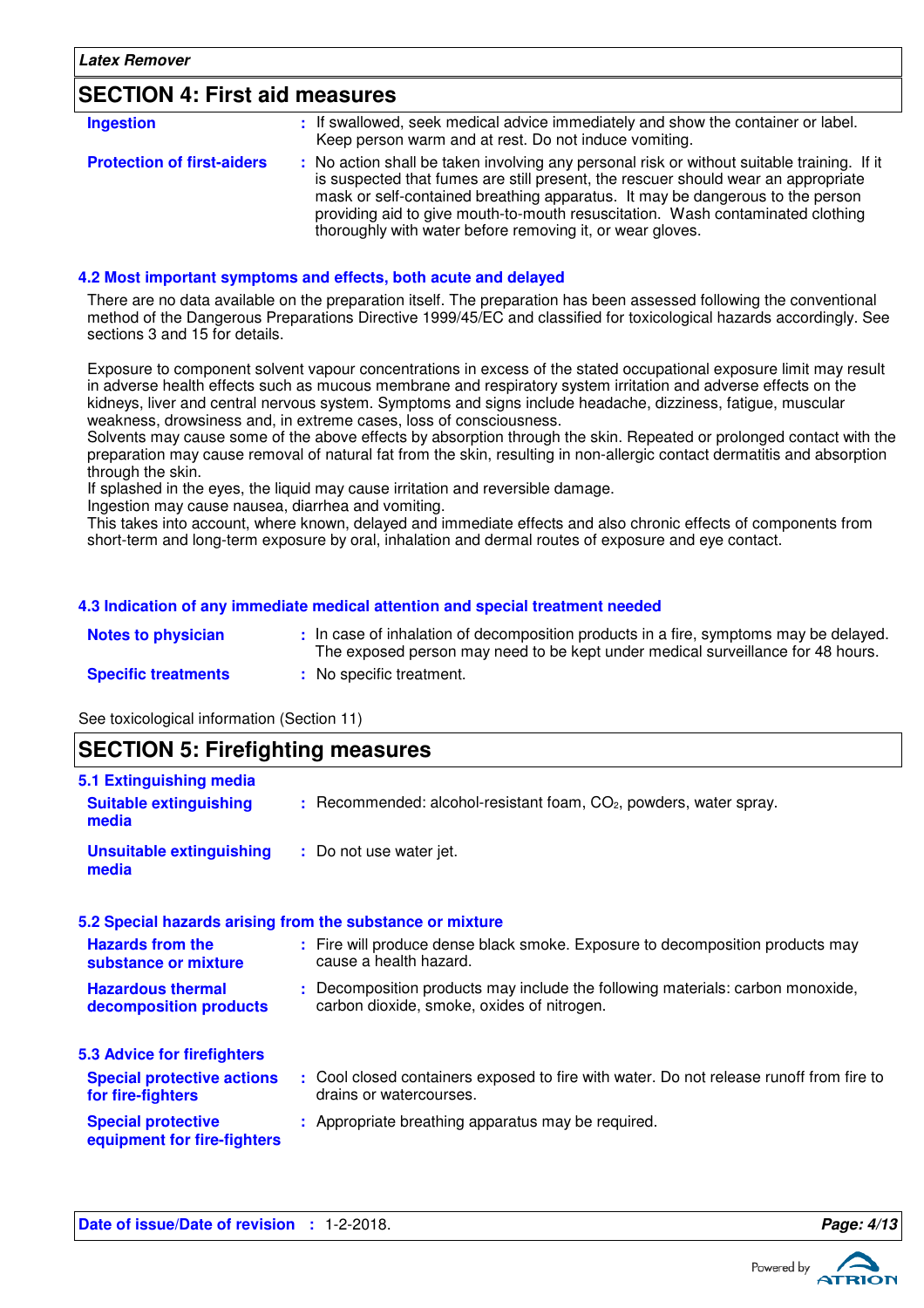### **SECTION 4: First aid measures**

| <b>Ingestion</b>                  | : If swallowed, seek medical advice immediately and show the container or label.<br>Keep person warm and at rest. Do not induce vomiting.                                                                                                                                                                                                                                                                       |
|-----------------------------------|-----------------------------------------------------------------------------------------------------------------------------------------------------------------------------------------------------------------------------------------------------------------------------------------------------------------------------------------------------------------------------------------------------------------|
| <b>Protection of first-aiders</b> | : No action shall be taken involving any personal risk or without suitable training. If it<br>is suspected that fumes are still present, the rescuer should wear an appropriate<br>mask or self-contained breathing apparatus. It may be dangerous to the person<br>providing aid to give mouth-to-mouth resuscitation. Wash contaminated clothing<br>thoroughly with water before removing it, or wear gloves. |

#### **4.2 Most important symptoms and effects, both acute and delayed**

There are no data available on the preparation itself. The preparation has been assessed following the conventional method of the Dangerous Preparations Directive 1999/45/EC and classified for toxicological hazards accordingly. See sections 3 and 15 for details.

Exposure to component solvent vapour concentrations in excess of the stated occupational exposure limit may result in adverse health effects such as mucous membrane and respiratory system irritation and adverse effects on the kidneys, liver and central nervous system. Symptoms and signs include headache, dizziness, fatigue, muscular weakness, drowsiness and, in extreme cases, loss of consciousness.

Solvents may cause some of the above effects by absorption through the skin. Repeated or prolonged contact with the preparation may cause removal of natural fat from the skin, resulting in non-allergic contact dermatitis and absorption through the skin.

If splashed in the eyes, the liquid may cause irritation and reversible damage.

Ingestion may cause nausea, diarrhea and vomiting.

This takes into account, where known, delayed and immediate effects and also chronic effects of components from short-term and long-term exposure by oral, inhalation and dermal routes of exposure and eye contact.

#### **4.3 Indication of any immediate medical attention and special treatment needed**

| <b>Notes to physician</b>  | : In case of inhalation of decomposition products in a fire, symptoms may be delayed.<br>The exposed person may need to be kept under medical surveillance for 48 hours. |
|----------------------------|--------------------------------------------------------------------------------------------------------------------------------------------------------------------------|
| <b>Specific treatments</b> | No specific treatment.                                                                                                                                                   |

See toxicological information (Section 11)

| <b>SECTION 5: Firefighting measures</b>                           |                                                                                                                              |  |
|-------------------------------------------------------------------|------------------------------------------------------------------------------------------------------------------------------|--|
| 5.1 Extinguishing media<br><b>Suitable extinguishing</b><br>media | $:$ Recommended: alcohol-resistant foam, $CO2$ , powders, water spray.                                                       |  |
| <b>Unsuitable extinguishing</b><br>media                          | : Do not use water jet.                                                                                                      |  |
|                                                                   | 5.2 Special hazards arising from the substance or mixture                                                                    |  |
| <b>Hazards from the</b><br>substance or mixture                   | : Fire will produce dense black smoke. Exposure to decomposition products may<br>cause a health hazard.                      |  |
| <b>Hazardous thermal</b><br>decomposition products                | : Decomposition products may include the following materials: carbon monoxide,<br>carbon dioxide, smoke, oxides of nitrogen. |  |
| 5.3 Advice for firefighters                                       |                                                                                                                              |  |
| <b>Special protective actions</b><br>for fire-fighters            | : Cool closed containers exposed to fire with water. Do not release runoff from fire to<br>drains or watercourses.           |  |
| <b>Special protective</b><br>equipment for fire-fighters          | : Appropriate breathing apparatus may be required.                                                                           |  |

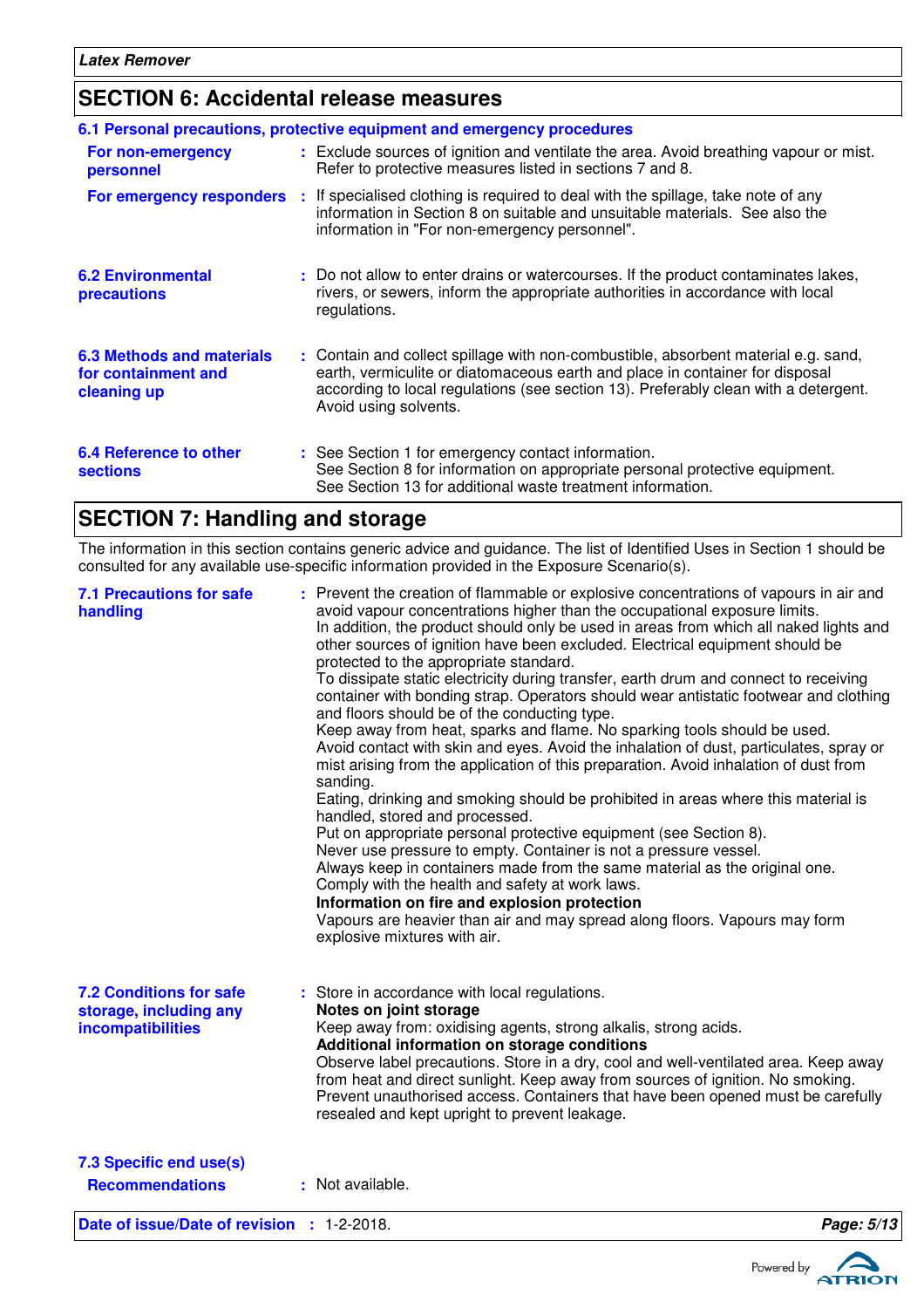# **SECTION 6: Accidental release measures**

|                                                                        | 6.1 Personal precautions, protective equipment and emergency procedures                                                                                                                                                                                                            |
|------------------------------------------------------------------------|------------------------------------------------------------------------------------------------------------------------------------------------------------------------------------------------------------------------------------------------------------------------------------|
| For non-emergency<br>personnel                                         | : Exclude sources of ignition and ventilate the area. Avoid breathing vapour or mist.<br>Refer to protective measures listed in sections 7 and 8.                                                                                                                                  |
| For emergency responders                                               | : If specialised clothing is required to deal with the spillage, take note of any<br>information in Section 8 on suitable and unsuitable materials. See also the<br>information in "For non-emergency personnel".                                                                  |
| <b>6.2 Environmental</b><br>precautions                                | : Do not allow to enter drains or watercourses. If the product contaminates lakes,<br>rivers, or sewers, inform the appropriate authorities in accordance with local<br>regulations.                                                                                               |
| <b>6.3 Methods and materials</b><br>for containment and<br>cleaning up | : Contain and collect spillage with non-combustible, absorbent material e.g. sand,<br>earth, vermiculite or diatomaceous earth and place in container for disposal<br>according to local regulations (see section 13). Preferably clean with a detergent.<br>Avoid using solvents. |
| 6.4 Reference to other<br><b>sections</b>                              | : See Section 1 for emergency contact information.<br>See Section 8 for information on appropriate personal protective equipment.<br>See Section 13 for additional waste treatment information.                                                                                    |

### **SECTION 7: Handling and storage**

The information in this section contains generic advice and guidance. The list of Identified Uses in Section 1 should be consulted for any available use-specific information provided in the Exposure Scenario(s).

| <b>7.1 Precautions for safe</b><br>handling                                   | : Prevent the creation of flammable or explosive concentrations of vapours in air and<br>avoid vapour concentrations higher than the occupational exposure limits.<br>In addition, the product should only be used in areas from which all naked lights and<br>other sources of ignition have been excluded. Electrical equipment should be<br>protected to the appropriate standard.<br>To dissipate static electricity during transfer, earth drum and connect to receiving<br>container with bonding strap. Operators should wear antistatic footwear and clothing<br>and floors should be of the conducting type.<br>Keep away from heat, sparks and flame. No sparking tools should be used.<br>Avoid contact with skin and eyes. Avoid the inhalation of dust, particulates, spray or<br>mist arising from the application of this preparation. Avoid inhalation of dust from<br>sanding.<br>Eating, drinking and smoking should be prohibited in areas where this material is<br>handled, stored and processed.<br>Put on appropriate personal protective equipment (see Section 8).<br>Never use pressure to empty. Container is not a pressure vessel.<br>Always keep in containers made from the same material as the original one. |            |
|-------------------------------------------------------------------------------|-----------------------------------------------------------------------------------------------------------------------------------------------------------------------------------------------------------------------------------------------------------------------------------------------------------------------------------------------------------------------------------------------------------------------------------------------------------------------------------------------------------------------------------------------------------------------------------------------------------------------------------------------------------------------------------------------------------------------------------------------------------------------------------------------------------------------------------------------------------------------------------------------------------------------------------------------------------------------------------------------------------------------------------------------------------------------------------------------------------------------------------------------------------------------------------------------------------------------------------------------|------------|
|                                                                               | Comply with the health and safety at work laws.<br>Information on fire and explosion protection<br>Vapours are heavier than air and may spread along floors. Vapours may form<br>explosive mixtures with air.                                                                                                                                                                                                                                                                                                                                                                                                                                                                                                                                                                                                                                                                                                                                                                                                                                                                                                                                                                                                                                 |            |
| <b>7.2 Conditions for safe</b><br>storage, including any<br>incompatibilities | : Store in accordance with local regulations.<br>Notes on joint storage<br>Keep away from: oxidising agents, strong alkalis, strong acids.<br>Additional information on storage conditions<br>Observe label precautions. Store in a dry, cool and well-ventilated area. Keep away<br>from heat and direct sunlight. Keep away from sources of ignition. No smoking.<br>Prevent unauthorised access. Containers that have been opened must be carefully<br>resealed and kept upright to prevent leakage.                                                                                                                                                                                                                                                                                                                                                                                                                                                                                                                                                                                                                                                                                                                                       |            |
| 7.3 Specific end use(s)<br><b>Recommendations</b>                             | : Not available.                                                                                                                                                                                                                                                                                                                                                                                                                                                                                                                                                                                                                                                                                                                                                                                                                                                                                                                                                                                                                                                                                                                                                                                                                              |            |
| Date of issue/Date of revision : 1-2-2018.                                    |                                                                                                                                                                                                                                                                                                                                                                                                                                                                                                                                                                                                                                                                                                                                                                                                                                                                                                                                                                                                                                                                                                                                                                                                                                               | Page: 5/13 |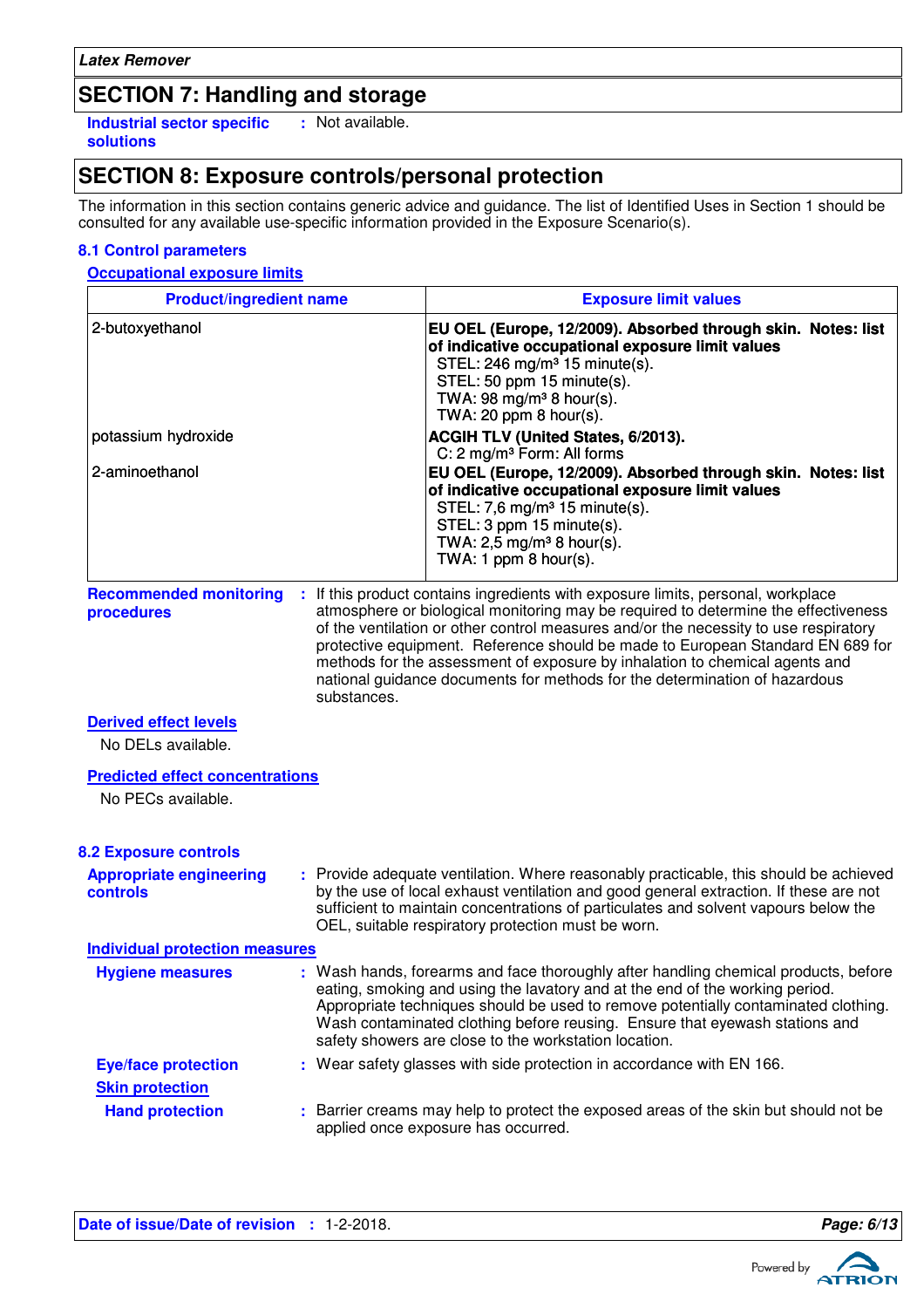### **SECTION 7: Handling and storage**

**Industrial sector specific : solutions** : Not available.

### **SECTION 8: Exposure controls/personal protection**

The information in this section contains generic advice and guidance. The list of Identified Uses in Section 1 should be consulted for any available use-specific information provided in the Exposure Scenario(s).

#### **8.1 Control parameters**

#### **Occupational exposure limits**

| <b>Product/ingredient name</b>                               |             | <b>Exposure limit values</b>                                                                                                                                                                                                                                                                                                                                                                                                                                                                                                                                                                                        |
|--------------------------------------------------------------|-------------|---------------------------------------------------------------------------------------------------------------------------------------------------------------------------------------------------------------------------------------------------------------------------------------------------------------------------------------------------------------------------------------------------------------------------------------------------------------------------------------------------------------------------------------------------------------------------------------------------------------------|
| 2-butoxyethanol<br>potassium hydroxide<br>2-aminoethanol     |             | EU OEL (Europe, 12/2009). Absorbed through skin. Notes: list<br>of indicative occupational exposure limit values<br>STEL: 246 mg/m <sup>3</sup> 15 minute(s).<br>STEL: 50 ppm 15 minute(s).<br>TWA: 98 mg/m <sup>3</sup> 8 hour(s).<br>TWA: $20$ ppm $8$ hour(s).<br>ACGIH TLV (United States, 6/2013).<br>C: 2 mg/m <sup>3</sup> Form: All forms<br>EU OEL (Europe, 12/2009). Absorbed through skin. Notes: list<br>of indicative occupational exposure limit values<br>STEL: 7,6 mg/m <sup>3</sup> 15 minute(s).<br>STEL: 3 ppm 15 minute(s).<br>TWA: 2,5 mg/m <sup>3</sup> 8 hour(s).<br>TWA: 1 ppm $8$ hour(s). |
| <b>Recommended monitoring</b><br>procedures                  | substances. | : If this product contains ingredients with exposure limits, personal, workplace<br>atmosphere or biological monitoring may be required to determine the effectiveness<br>of the ventilation or other control measures and/or the necessity to use respiratory<br>protective equipment. Reference should be made to European Standard EN 689 for<br>methods for the assessment of exposure by inhalation to chemical agents and<br>national guidance documents for methods for the determination of hazardous                                                                                                       |
| <b>Derived effect levels</b><br>No DELs available.           |             |                                                                                                                                                                                                                                                                                                                                                                                                                                                                                                                                                                                                                     |
| <b>Predicted effect concentrations</b><br>No PECs available. |             |                                                                                                                                                                                                                                                                                                                                                                                                                                                                                                                                                                                                                     |
| <b>8.2 Exposure controls</b>                                 |             |                                                                                                                                                                                                                                                                                                                                                                                                                                                                                                                                                                                                                     |
| <b>Appropriate engineering</b><br><b>controls</b>            |             | : Provide adequate ventilation. Where reasonably practicable, this should be achieved<br>by the use of local exhaust ventilation and good general extraction. If these are not<br>sufficient to maintain concentrations of particulates and solvent vapours below the<br>OEL, suitable respiratory protection must be worn.                                                                                                                                                                                                                                                                                         |
| <b>Individual protection measures</b>                        |             |                                                                                                                                                                                                                                                                                                                                                                                                                                                                                                                                                                                                                     |
| <b>Hygiene measures</b>                                      |             | : Wash hands, forearms and face thoroughly after handling chemical products, before<br>eating, smoking and using the lavatory and at the end of the working period.<br>Appropriate techniques should be used to remove potentially contaminated clothing.<br>Wash contaminated clothing before reusing. Ensure that eyewash stations and<br>safety showers are close to the workstation location.                                                                                                                                                                                                                   |
| <b>Eye/face protection</b>                                   |             | : Wear safety glasses with side protection in accordance with EN 166.                                                                                                                                                                                                                                                                                                                                                                                                                                                                                                                                               |
| <b>Skin protection</b>                                       |             |                                                                                                                                                                                                                                                                                                                                                                                                                                                                                                                                                                                                                     |
| <b>Hand protection</b>                                       |             | : Barrier creams may help to protect the exposed areas of the skin but should not be<br>applied once exposure has occurred.                                                                                                                                                                                                                                                                                                                                                                                                                                                                                         |

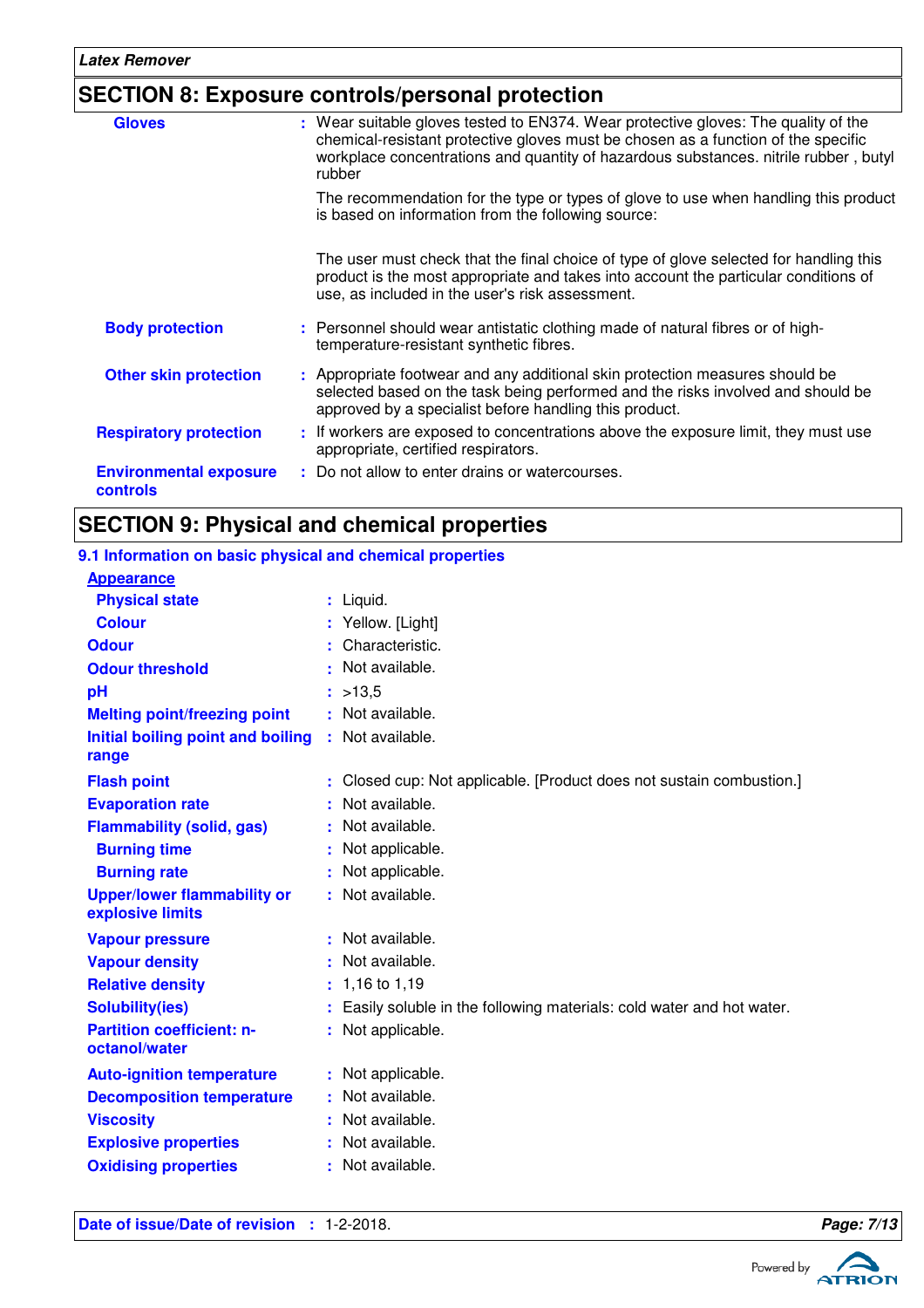### **SECTION 8: Exposure controls/personal protection**

| <b>Gloves</b>                                    | : Wear suitable gloves tested to EN374. Wear protective gloves: The quality of the<br>chemical-resistant protective gloves must be chosen as a function of the specific<br>workplace concentrations and quantity of hazardous substances. nitrile rubber, butyl<br>rubber |
|--------------------------------------------------|---------------------------------------------------------------------------------------------------------------------------------------------------------------------------------------------------------------------------------------------------------------------------|
|                                                  | The recommendation for the type or types of glove to use when handling this product<br>is based on information from the following source:                                                                                                                                 |
|                                                  | The user must check that the final choice of type of glove selected for handling this<br>product is the most appropriate and takes into account the particular conditions of<br>use, as included in the user's risk assessment.                                           |
| <b>Body protection</b>                           | : Personnel should wear antistatic clothing made of natural fibres or of high-<br>temperature-resistant synthetic fibres.                                                                                                                                                 |
| <b>Other skin protection</b>                     | : Appropriate footwear and any additional skin protection measures should be<br>selected based on the task being performed and the risks involved and should be<br>approved by a specialist before handling this product.                                                 |
| <b>Respiratory protection</b>                    | : If workers are exposed to concentrations above the exposure limit, they must use<br>appropriate, certified respirators.                                                                                                                                                 |
| <b>Environmental exposure</b><br><b>controls</b> | : Do not allow to enter drains or watercourses.                                                                                                                                                                                                                           |

# **SECTION 9: Physical and chemical properties**

| 9.1 Information on basic physical and chemical properties |    |                                                                      |  |  |
|-----------------------------------------------------------|----|----------------------------------------------------------------------|--|--|
| <b>Appearance</b>                                         |    |                                                                      |  |  |
| <b>Physical state</b>                                     |    | $:$ Liquid.                                                          |  |  |
| <b>Colour</b>                                             |    | : Yellow. [Light]                                                    |  |  |
| <b>Odour</b>                                              |    | : Characteristic.                                                    |  |  |
| <b>Odour threshold</b>                                    |    | Not available.                                                       |  |  |
| pH                                                        |    | : >13.5                                                              |  |  |
| <b>Melting point/freezing point</b>                       |    | : Not available.                                                     |  |  |
| Initial boiling point and boiling<br>range                |    | : Not available.                                                     |  |  |
| <b>Flash point</b>                                        |    | Closed cup: Not applicable. [Product does not sustain combustion.]   |  |  |
| <b>Evaporation rate</b>                                   |    | Not available.                                                       |  |  |
| <b>Flammability (solid, gas)</b>                          |    | Not available.                                                       |  |  |
| <b>Burning time</b>                                       |    | Not applicable.                                                      |  |  |
| <b>Burning rate</b>                                       |    | Not applicable.                                                      |  |  |
| <b>Upper/lower flammability or</b><br>explosive limits    |    | Not available.                                                       |  |  |
| <b>Vapour pressure</b>                                    |    | : Not available.                                                     |  |  |
| <b>Vapour density</b>                                     |    | Not available.                                                       |  |  |
| <b>Relative density</b>                                   |    | $: 1,16$ to 1,19                                                     |  |  |
| <b>Solubility(ies)</b>                                    |    | Easily soluble in the following materials: cold water and hot water. |  |  |
| <b>Partition coefficient: n-</b><br>octanol/water         |    | : Not applicable.                                                    |  |  |
| <b>Auto-ignition temperature</b>                          |    | : Not applicable.                                                    |  |  |
| <b>Decomposition temperature</b>                          |    | Not available.                                                       |  |  |
| <b>Viscosity</b>                                          |    | Not available.                                                       |  |  |
| <b>Explosive properties</b>                               |    | Not available.                                                       |  |  |
| <b>Oxidising properties</b>                               | ÷. | Not available.                                                       |  |  |



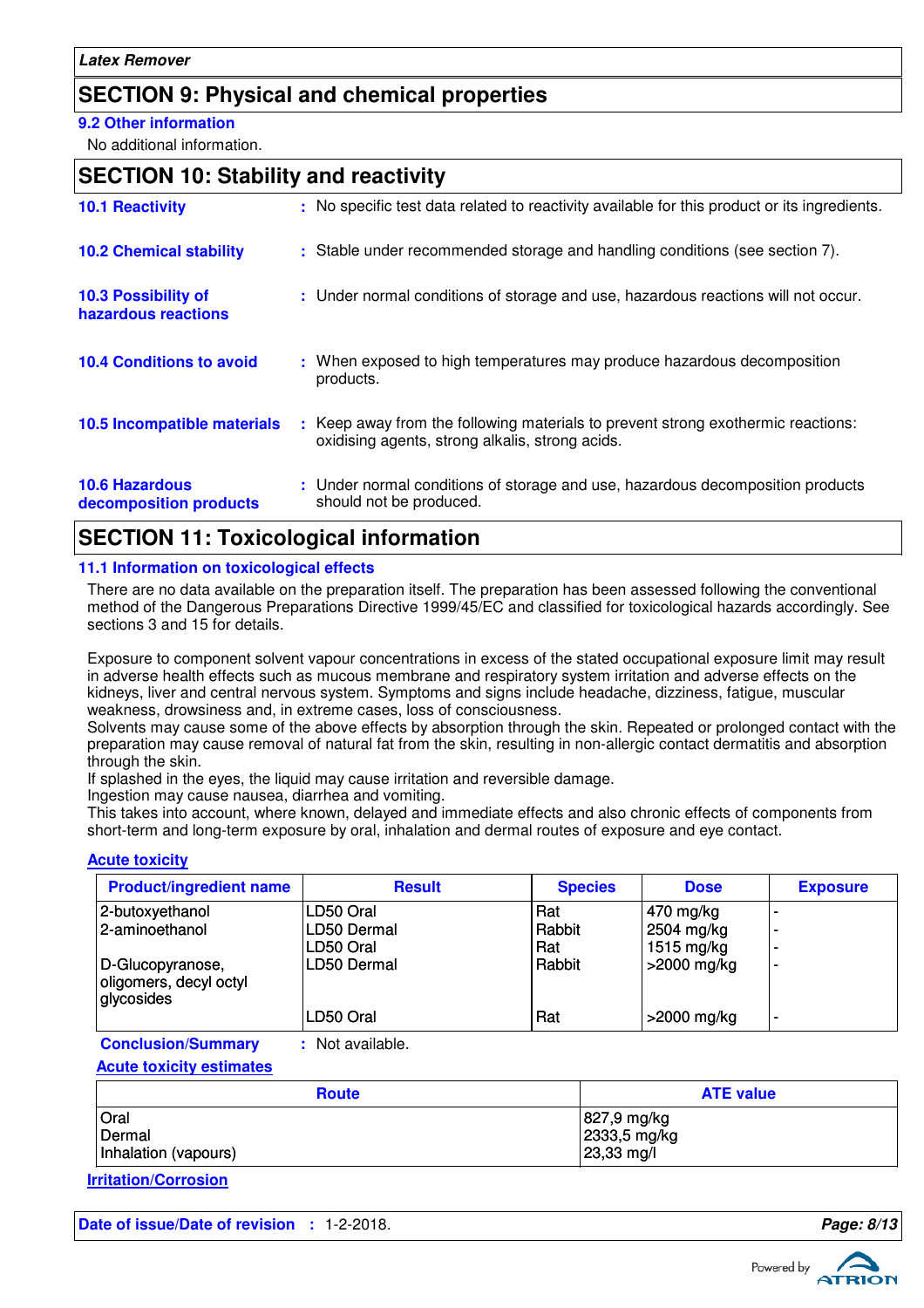### **SECTION 9: Physical and chemical properties**

#### **9.2 Other information**

No additional information.

### **SECTION 10: Stability and reactivity**

| <b>10.1 Reactivity</b>                            | : No specific test data related to reactivity available for this product or its ingredients.                                        |
|---------------------------------------------------|-------------------------------------------------------------------------------------------------------------------------------------|
| <b>10.2 Chemical stability</b>                    | : Stable under recommended storage and handling conditions (see section 7).                                                         |
| <b>10.3 Possibility of</b><br>hazardous reactions | : Under normal conditions of storage and use, hazardous reactions will not occur.                                                   |
| <b>10.4 Conditions to avoid</b>                   | : When exposed to high temperatures may produce hazardous decomposition<br>products.                                                |
| <b>10.5 Incompatible materials</b>                | : Keep away from the following materials to prevent strong exothermic reactions:<br>oxidising agents, strong alkalis, strong acids. |
| <b>10.6 Hazardous</b><br>decomposition products   | : Under normal conditions of storage and use, hazardous decomposition products<br>should not be produced.                           |

#### **SECTION 11: Toxicological information**

#### **11.1 Information on toxicological effects**

There are no data available on the preparation itself. The preparation has been assessed following the conventional method of the Dangerous Preparations Directive 1999/45/EC and classified for toxicological hazards accordingly. See sections 3 and 15 for details.

Exposure to component solvent vapour concentrations in excess of the stated occupational exposure limit may result in adverse health effects such as mucous membrane and respiratory system irritation and adverse effects on the kidneys, liver and central nervous system. Symptoms and signs include headache, dizziness, fatigue, muscular weakness, drowsiness and, in extreme cases, loss of consciousness.

Solvents may cause some of the above effects by absorption through the skin. Repeated or prolonged contact with the preparation may cause removal of natural fat from the skin, resulting in non-allergic contact dermatitis and absorption through the skin.

If splashed in the eyes, the liquid may cause irritation and reversible damage.

Ingestion may cause nausea, diarrhea and vomiting.

This takes into account, where known, delayed and immediate effects and also chronic effects of components from short-term and long-term exposure by oral, inhalation and dermal routes of exposure and eye contact.

#### **Acute toxicity**

| <b>Product/ingredient name</b>                           | <b>Result</b>                         | <b>Species</b>       | <b>Dose</b>                             | <b>Exposure</b>                                                                  |
|----------------------------------------------------------|---------------------------------------|----------------------|-----------------------------------------|----------------------------------------------------------------------------------|
| 2-butoxyethanol<br>2-aminoethanol                        | LD50 Oral<br>LD50 Dermal<br>LD50 Oral | Rat<br>Rabbit<br>Rat | 470 mg/kg<br>2504 mg/kg<br>1515 $mg/kg$ | $\overline{\phantom{0}}$<br>$\overline{\phantom{a}}$<br>$\overline{\phantom{0}}$ |
| D-Glucopyranose,<br>oligomers, decyl octyl<br>glycosides | LD50 Dermal<br>LD50 Oral              | Rabbit<br>Rat        | >2000 mg/kg<br>$>$ 2000 mg/kg           | $\blacksquare$<br>٠                                                              |

**Conclusion/Summary :** Not available.

**Acute toxicity estimates**

| <b>Route</b>         | <b>ATE value</b>            |
|----------------------|-----------------------------|
| Oral<br>Dermal       | 827,9 mg/kg<br>2333,5 mg/kg |
| Inhalation (vapours) | $ 23,33 \text{ mg}/I$       |

**Irritation/Corrosion**

**Date of issue/Date of revision :** 1-2-2018. **Page: 8/13**

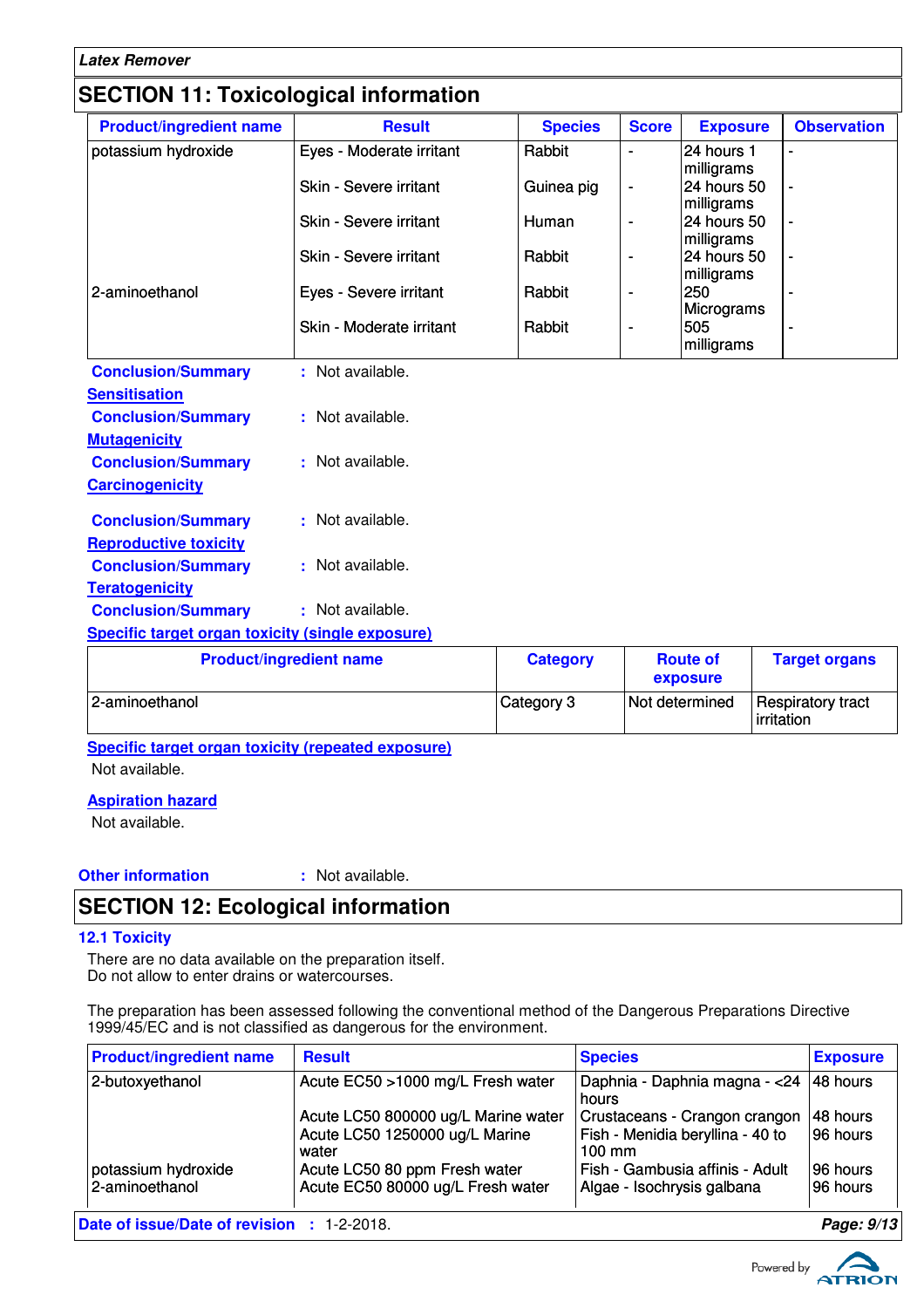| <b>Latex Remover</b>                                    |                                |                 |                          |                            |                          |
|---------------------------------------------------------|--------------------------------|-----------------|--------------------------|----------------------------|--------------------------|
| <b>SECTION 11: Toxicological information</b>            |                                |                 |                          |                            |                          |
| <b>Product/ingredient name</b>                          | <b>Result</b>                  | <b>Species</b>  | <b>Score</b>             | <b>Exposure</b>            | <b>Observation</b>       |
| potassium hydroxide                                     | Eyes - Moderate irritant       | Rabbit          | $\blacksquare$           | 24 hours 1<br>milligrams   | $\blacksquare$           |
|                                                         | <b>Skin - Severe irritant</b>  | Guinea pig      | $\overline{\phantom{a}}$ | 24 hours 50<br>milligrams  |                          |
|                                                         | Skin - Severe irritant         | Human           | $\blacksquare$           | l24 hours 50<br>milligrams |                          |
|                                                         | Skin - Severe irritant         | Rabbit          | $\overline{\phantom{a}}$ | 24 hours 50<br>milligrams  |                          |
| 2-aminoethanol                                          | Eyes - Severe irritant         | Rabbit          | $\overline{a}$           | 250<br>Micrograms          |                          |
|                                                         | Skin - Moderate irritant       | Rabbit          | ÷                        | 505<br>milligrams          | $\overline{\phantom{a}}$ |
| <b>Conclusion/Summary</b>                               | : Not available.               |                 |                          |                            |                          |
| <b>Sensitisation</b>                                    |                                |                 |                          |                            |                          |
| <b>Conclusion/Summary</b>                               | : Not available.               |                 |                          |                            |                          |
| <b>Mutagenicity</b>                                     |                                |                 |                          |                            |                          |
| <b>Conclusion/Summary</b>                               | : Not available.               |                 |                          |                            |                          |
| <b>Carcinogenicity</b>                                  |                                |                 |                          |                            |                          |
| <b>Conclusion/Summary</b>                               | : Not available.               |                 |                          |                            |                          |
| <b>Reproductive toxicity</b>                            |                                |                 |                          |                            |                          |
| <b>Conclusion/Summary</b>                               | : Not available.               |                 |                          |                            |                          |
| <b>Teratogenicity</b>                                   |                                |                 |                          |                            |                          |
| <b>Conclusion/Summary</b>                               | : Not available.               |                 |                          |                            |                          |
| <b>Specific target organ toxicity (single exposure)</b> |                                |                 |                          |                            |                          |
|                                                         | <b>Product/ingredient name</b> | <b>Category</b> |                          | <b>Route of</b>            | <b>Target organs</b>     |

| <b>Product/ingredient name</b> | <b>Category</b> | <b>Route of</b><br>exposure | <b>Target organs</b>                           |
|--------------------------------|-----------------|-----------------------------|------------------------------------------------|
| 12-aminoethanol                | Category 3      | Not determined              | <b>Respiratory tract</b><br><b>lirritation</b> |

**Specific target organ toxicity (repeated exposure)** Not available.

#### **Aspiration hazard**

Not available.

**Other information :**

: Not available.

# **SECTION 12: Ecological information**

#### **12.1 Toxicity**

There are no data available on the preparation itself. Do not allow to enter drains or watercourses.

The preparation has been assessed following the conventional method of the Dangerous Preparations Directive 1999/45/EC and is not classified as dangerous for the environment.

| <b>Product/ingredient name</b>        | <b>Result</b>                                                                                                                                        | <b>Species</b>                                                                                                                                         | <b>Exposure</b>                                  |  |  |
|---------------------------------------|------------------------------------------------------------------------------------------------------------------------------------------------------|--------------------------------------------------------------------------------------------------------------------------------------------------------|--------------------------------------------------|--|--|
| 2-butoxyethanol                       | Acute EC50 >1000 mg/L Fresh water                                                                                                                    | Daphnia - Daphnia magna - < 24<br>hours                                                                                                                | $ 48$ hours                                      |  |  |
| potassium hydroxide<br>2-aminoethanol | Acute LC50 800000 ug/L Marine water<br>Acute LC50 1250000 ug/L Marine<br>water<br>Acute LC50 80 ppm Fresh water<br>Acute EC50 80000 ug/L Fresh water | Crustaceans - Crangon crangon<br>Fish - Menidia beryllina - 40 to<br>$100 \text{ mm}$<br>Fish - Gambusia affinis - Adult<br>Algae - Isochrysis galbana | l48 hours<br>196 hours<br>196 hours<br>196 hours |  |  |
|                                       | Date of issue/Date of revision : 1-2-2018.<br>Page: 9/13                                                                                             |                                                                                                                                                        |                                                  |  |  |

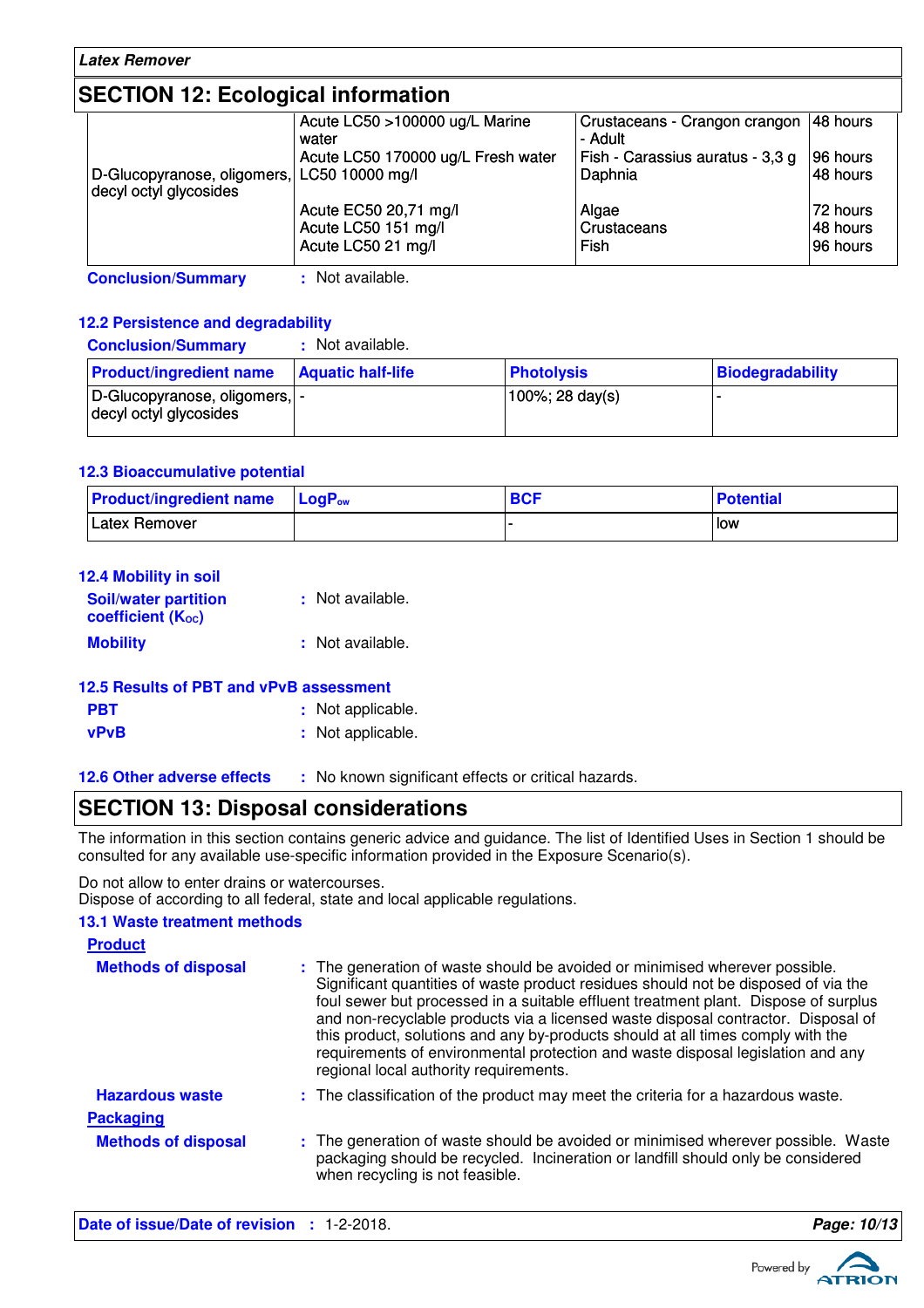### **SECTION 12: Ecological information**

|                                             | Acute LC50 >100000 ug/L Marine<br>water | Crustaceans - Crangon crangon   48 hours<br>- Adult |          |
|---------------------------------------------|-----------------------------------------|-----------------------------------------------------|----------|
|                                             | Acute LC50 170000 ug/L Fresh water      | Fish - Carassius auratus - 3,3 g                    | 96 hours |
| D-Glucopyranose, oligomers, LC50 10000 mg/l |                                         | Daphnia                                             | 48 hours |
| decyl octyl glycosides                      |                                         |                                                     |          |
|                                             | Acute EC50 20,71 mg/l                   | Algae                                               | 72 hours |
|                                             | Acute LC50 151 mg/l                     | Crustaceans                                         | 48 hours |
|                                             | Acute LC50 21 mg/l                      | <b>Fish</b>                                         | 96 hours |
|                                             |                                         |                                                     |          |

**Conclusion/Summary :** Not available.

#### **12.2 Persistence and degradability**

| <b>Conclusion/Summary</b>                                | : Not available.         |                   |                         |
|----------------------------------------------------------|--------------------------|-------------------|-------------------------|
| <b>Product/ingredient name</b>                           | <b>Aquatic half-life</b> | <b>Photolysis</b> | <b>Biodegradability</b> |
| D-Glucopyranose, oligomers,  -<br>decyl octyl glycosides |                          | 100%; 28 day(s)   |                         |

#### **12.3 Bioaccumulative potential**

| <b>Product/ingredient name</b> | $\mathsf{LocP}_\mathsf{ow}$ | <b>BCF</b> | <b>Potential</b> |
|--------------------------------|-----------------------------|------------|------------------|
| Latex Remover                  |                             |            | l low            |

| <b>12.4 Mobility in soil</b>                            |                  |
|---------------------------------------------------------|------------------|
| <b>Soil/water partition</b><br><b>coefficient (Koc)</b> | : Not available. |
| <b>Mobility</b>                                         | : Not available. |

| 12.5 Results of PBT and vPvB assessment |                   |  |
|-----------------------------------------|-------------------|--|
| <b>PBT</b>                              | : Not applicable. |  |
| vPvB                                    | : Not applicable. |  |

#### **12.6 Other adverse effects** : No known significant effects or critical hazards.

### **SECTION 13: Disposal considerations**

The information in this section contains generic advice and guidance. The list of Identified Uses in Section 1 should be consulted for any available use-specific information provided in the Exposure Scenario(s).

Do not allow to enter drains or watercourses.

Dispose of according to all federal, state and local applicable regulations.

#### **13.1 Waste treatment methods**

| <b>Product</b>             |                                                                                                                                                                                                                                                                                                                                                                                                                                                                                                                                                               |
|----------------------------|---------------------------------------------------------------------------------------------------------------------------------------------------------------------------------------------------------------------------------------------------------------------------------------------------------------------------------------------------------------------------------------------------------------------------------------------------------------------------------------------------------------------------------------------------------------|
| <b>Methods of disposal</b> | : The generation of waste should be avoided or minimised wherever possible.<br>Significant quantities of waste product residues should not be disposed of via the<br>foul sewer but processed in a suitable effluent treatment plant. Dispose of surplus<br>and non-recyclable products via a licensed waste disposal contractor. Disposal of<br>this product, solutions and any by-products should at all times comply with the<br>requirements of environmental protection and waste disposal legislation and any<br>regional local authority requirements. |
| <b>Hazardous waste</b>     | : The classification of the product may meet the criteria for a hazardous waste.                                                                                                                                                                                                                                                                                                                                                                                                                                                                              |
| <b>Packaging</b>           |                                                                                                                                                                                                                                                                                                                                                                                                                                                                                                                                                               |
| <b>Methods of disposal</b> | : The generation of waste should be avoided or minimised wherever possible. Waste<br>packaging should be recycled. Incineration or landfill should only be considered<br>when recycling is not feasible.                                                                                                                                                                                                                                                                                                                                                      |

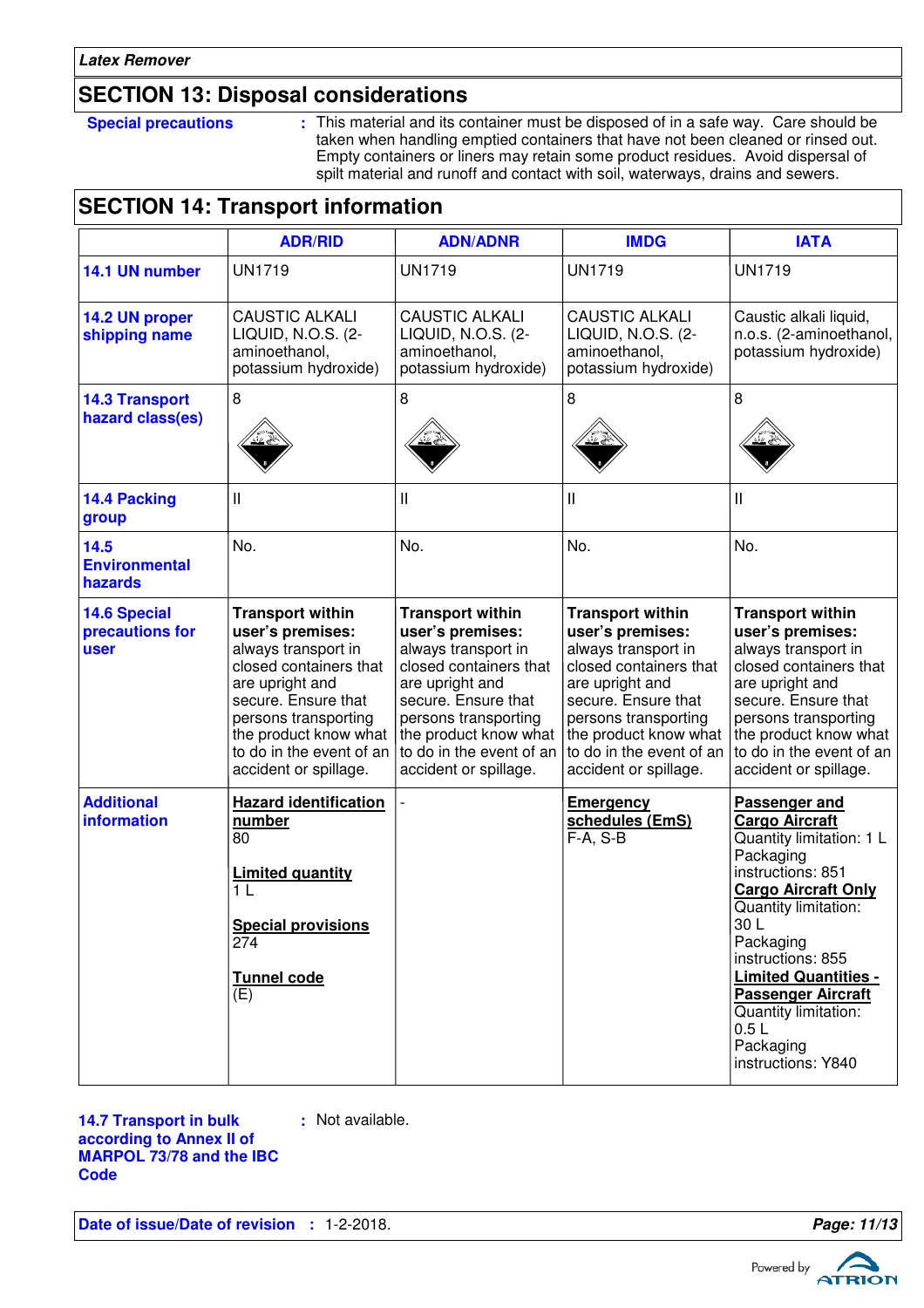### **SECTION 13: Disposal considerations**

**Special precautions :** This material and its container must be disposed of in a safe way. Care should be taken when handling emptied containers that have not been cleaned or rinsed out. Empty containers or liners may retain some product residues. Avoid dispersal of spilt material and runoff and contact with soil, waterways, drains and sewers.

### **SECTION 14: Transport information**

|                                                | <b>ADR/RID</b>                                                                                                                                                                                                                               | <b>ADN/ADNR</b>                                                                                                                                                                                                                              | <b>IMDG</b>                                                                                                                                                                                                                                  | <b>IATA</b>                                                                                                                                                                                                                                                                                                                        |
|------------------------------------------------|----------------------------------------------------------------------------------------------------------------------------------------------------------------------------------------------------------------------------------------------|----------------------------------------------------------------------------------------------------------------------------------------------------------------------------------------------------------------------------------------------|----------------------------------------------------------------------------------------------------------------------------------------------------------------------------------------------------------------------------------------------|------------------------------------------------------------------------------------------------------------------------------------------------------------------------------------------------------------------------------------------------------------------------------------------------------------------------------------|
| 14.1 UN number                                 | <b>UN1719</b>                                                                                                                                                                                                                                | <b>UN1719</b>                                                                                                                                                                                                                                | <b>UN1719</b>                                                                                                                                                                                                                                | <b>UN1719</b>                                                                                                                                                                                                                                                                                                                      |
| 14.2 UN proper<br>shipping name                | <b>CAUSTIC ALKALI</b><br>LIQUID, N.O.S. (2-<br>aminoethanol,<br>potassium hydroxide)                                                                                                                                                         | <b>CAUSTIC ALKALI</b><br>LIQUID, N.O.S. (2-<br>aminoethanol,<br>potassium hydroxide)                                                                                                                                                         | <b>CAUSTIC ALKALI</b><br>LIQUID, N.O.S. (2-<br>aminoethanol,<br>potassium hydroxide)                                                                                                                                                         | Caustic alkali liquid,<br>n.o.s. (2-aminoethanol,<br>potassium hydroxide)                                                                                                                                                                                                                                                          |
| <b>14.3 Transport</b><br>hazard class(es)      | 8                                                                                                                                                                                                                                            | 8                                                                                                                                                                                                                                            | 8                                                                                                                                                                                                                                            | 8                                                                                                                                                                                                                                                                                                                                  |
| 14.4 Packing<br>group                          | $\mathbf{I}$                                                                                                                                                                                                                                 | $\mathbf{I}$                                                                                                                                                                                                                                 | Ш                                                                                                                                                                                                                                            | Ш                                                                                                                                                                                                                                                                                                                                  |
| 14.5<br><b>Environmental</b><br>hazards        | No.                                                                                                                                                                                                                                          | No.                                                                                                                                                                                                                                          | No.                                                                                                                                                                                                                                          | No.                                                                                                                                                                                                                                                                                                                                |
| <b>14.6 Special</b><br>precautions for<br>user | <b>Transport within</b><br>user's premises:<br>always transport in<br>closed containers that<br>are upright and<br>secure. Ensure that<br>persons transporting<br>the product know what<br>to do in the event of an<br>accident or spillage. | <b>Transport within</b><br>user's premises:<br>always transport in<br>closed containers that<br>are upright and<br>secure. Ensure that<br>persons transporting<br>the product know what<br>to do in the event of an<br>accident or spillage. | <b>Transport within</b><br>user's premises:<br>always transport in<br>closed containers that<br>are upright and<br>secure. Ensure that<br>persons transporting<br>the product know what<br>to do in the event of an<br>accident or spillage. | <b>Transport within</b><br>user's premises:<br>always transport in<br>closed containers that<br>are upright and<br>secure. Ensure that<br>persons transporting<br>the product know what<br>to do in the event of an<br>accident or spillage.                                                                                       |
| <b>Additional</b><br>information               | <b>Hazard identification</b><br>number<br>80<br><b>Limited quantity</b><br>1 L<br><b>Special provisions</b><br>274<br>Tunnel code<br>(E)                                                                                                     |                                                                                                                                                                                                                                              | <b>Emergency</b><br>schedules (EmS)<br>$F-A, S-B$                                                                                                                                                                                            | Passenger and<br><b>Cargo Aircraft</b><br>Quantity limitation: 1 L<br>Packaging<br>instructions: 851<br><b>Cargo Aircraft Only</b><br>Quantity limitation:<br>30L<br>Packaging<br>instructions: 855<br><b>Limited Quantities -</b><br><b>Passenger Aircraft</b><br>Quantity limitation:<br>0.5L<br>Packaging<br>instructions: Y840 |

**14.7 Transport in bulk according to Annex II of MARPOL 73/78 and the IBC Code**

**:** Not available.

**Date of issue/Date of revision : 1-2-2018. Page: 11/13 Page: 11/13** 

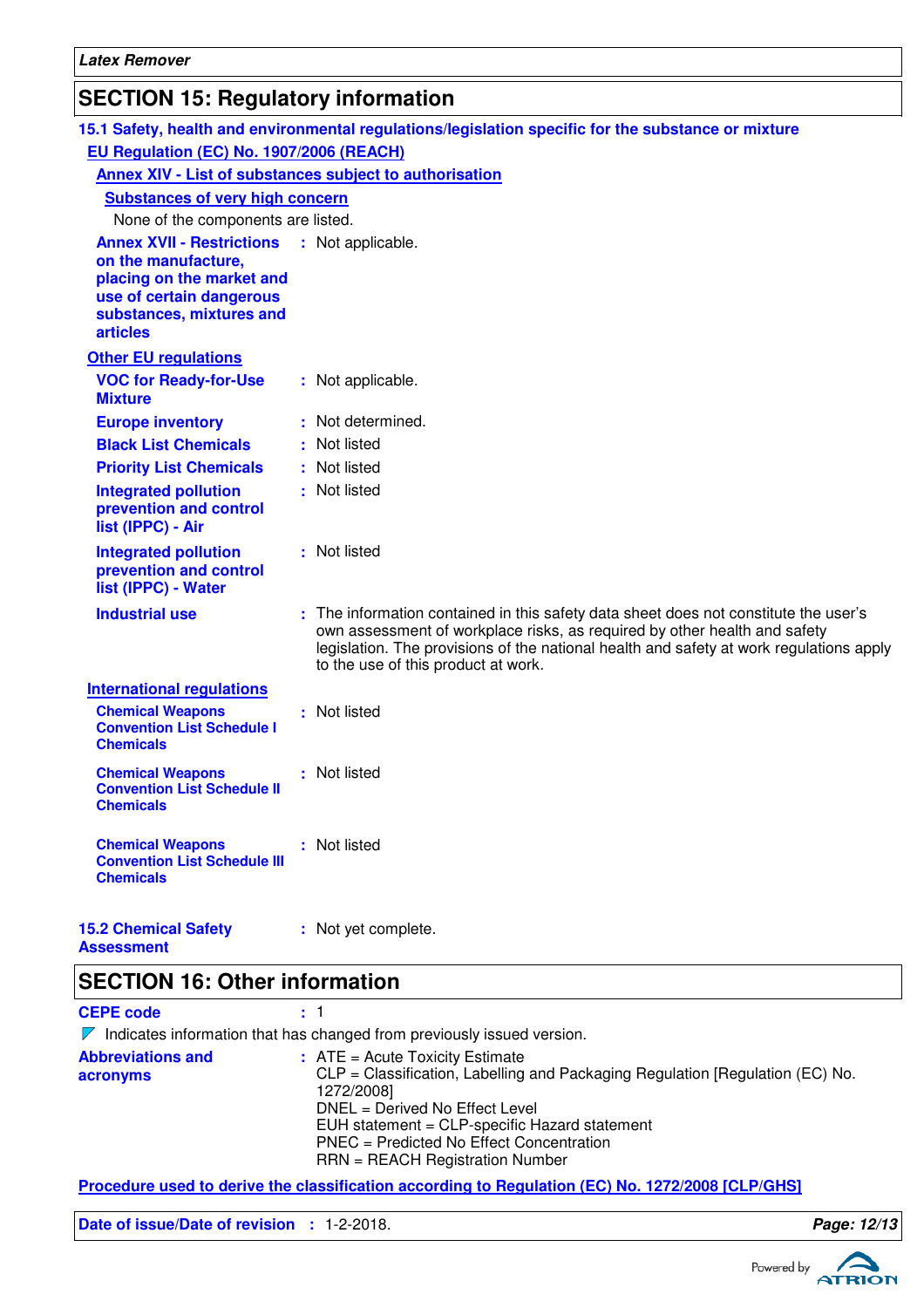# **SECTION 15: Regulatory information**

|                                                                                                                                                                 | 15.1 Safety, health and environmental regulations/legislation specific for the substance or mixture                                                                                                                                                                                                 |
|-----------------------------------------------------------------------------------------------------------------------------------------------------------------|-----------------------------------------------------------------------------------------------------------------------------------------------------------------------------------------------------------------------------------------------------------------------------------------------------|
| EU Regulation (EC) No. 1907/2006 (REACH)                                                                                                                        |                                                                                                                                                                                                                                                                                                     |
|                                                                                                                                                                 | Annex XIV - List of substances subject to authorisation                                                                                                                                                                                                                                             |
| <b>Substances of very high concern</b>                                                                                                                          |                                                                                                                                                                                                                                                                                                     |
| None of the components are listed.                                                                                                                              |                                                                                                                                                                                                                                                                                                     |
| <b>Annex XVII - Restrictions</b><br>on the manufacture,<br>placing on the market and<br>use of certain dangerous<br>substances, mixtures and<br><b>articles</b> | : Not applicable.                                                                                                                                                                                                                                                                                   |
| <b>Other EU regulations</b>                                                                                                                                     |                                                                                                                                                                                                                                                                                                     |
| <b>VOC for Ready-for-Use</b><br><b>Mixture</b>                                                                                                                  | : Not applicable.                                                                                                                                                                                                                                                                                   |
| <b>Europe inventory</b>                                                                                                                                         | : Not determined.                                                                                                                                                                                                                                                                                   |
| <b>Black List Chemicals</b>                                                                                                                                     | : Not listed                                                                                                                                                                                                                                                                                        |
| <b>Priority List Chemicals</b>                                                                                                                                  | : Not listed                                                                                                                                                                                                                                                                                        |
| <b>Integrated pollution</b><br>prevention and control<br>list (IPPC) - Air                                                                                      | : Not listed                                                                                                                                                                                                                                                                                        |
| <b>Integrated pollution</b><br>prevention and control<br>list (IPPC) - Water                                                                                    | : Not listed                                                                                                                                                                                                                                                                                        |
| <b>Industrial use</b>                                                                                                                                           | : The information contained in this safety data sheet does not constitute the user's<br>own assessment of workplace risks, as required by other health and safety<br>legislation. The provisions of the national health and safety at work regulations apply<br>to the use of this product at work. |
| <b>International regulations</b>                                                                                                                                |                                                                                                                                                                                                                                                                                                     |
| <b>Chemical Weapons</b><br><b>Convention List Schedule I</b><br><b>Chemicals</b>                                                                                | : Not listed                                                                                                                                                                                                                                                                                        |
| <b>Chemical Weapons</b><br><b>Convention List Schedule II</b><br><b>Chemicals</b>                                                                               | : Not listed                                                                                                                                                                                                                                                                                        |
| <b>Chemical Weapons</b><br><b>Convention List Schedule III</b><br><b>Chemicals</b>                                                                              | : Not listed                                                                                                                                                                                                                                                                                        |
| <b>15.2 Chemical Safety</b>                                                                                                                                     | : Not yet complete.                                                                                                                                                                                                                                                                                 |

# **Assessment**

### **SECTION 16: Other information**

**CEPE code :** 1

|                                      | $\nabla$ Indicates information that has changed from previously issued version.                                                           |
|--------------------------------------|-------------------------------------------------------------------------------------------------------------------------------------------|
| <b>Abbreviations and</b><br>acronyms | $\therefore$ ATE = Acute Toxicity Estimate<br>CLP = Classification, Labelling and Packaging Regulation [Regulation (EC) No.<br>1272/2008] |
|                                      | DNEL = Derived No Effect Level<br>EUH statement = CLP-specific Hazard statement                                                           |
|                                      | PNEC = Predicted No Effect Concentration<br>$RRN = REACH$ Registration Number                                                             |

**Procedure used to derive the classification according to Regulation (EC) No. 1272/2008 [CLP/GHS]**

**Date of issue/Date of revision :** 1-2-2018. **Page: 12/13**